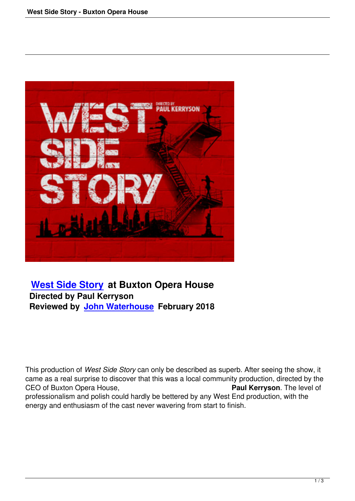

## **West Side Story at Buxton Opera House Directed by Paul Kerryson [Reviewed by John](west-side-story.html) Waterhouse February 2018**

This production of *West Side Story* can only be described as superb. After seeing the show, it came as a real surprise to discover that this was a local community production, directed by the CEO of Buxton Opera House, CEO of Buxton Opera House, professionalism and polish could hardly be bettered by any West End production, with the energy and enthusiasm of the cast never wavering from start to finish.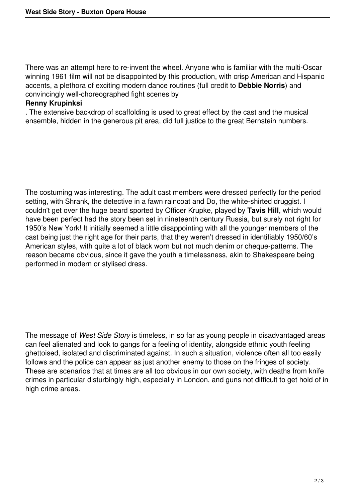There was an attempt here to re-invent the wheel. Anyone who is familiar with the multi-Oscar winning 1961 film will not be disappointed by this production, with crisp American and Hispanic accents, a plethora of exciting modern dance routines (full credit to **Debbie Norris**) and convincingly well-choreographed fight scenes by

## **Renny Krupinksi**

. The extensive backdrop of scaffolding is used to great effect by the cast and the musical ensemble, hidden in the generous pit area, did full justice to the great Bernstein numbers.

The costuming was interesting. The adult cast members were dressed perfectly for the period setting, with Shrank, the detective in a fawn raincoat and Do, the white-shirted druggist. I couldn't get over the huge beard sported by Officer Krupke, played by **Tavis Hill**, which would have been perfect had the story been set in nineteenth century Russia, but surely not right for 1950's New York! It initially seemed a little disappointing with all the younger members of the cast being just the right age for their parts, that they weren't dressed in identifiably 1950/60's American styles, with quite a lot of black worn but not much denim or cheque-patterns. The reason became obvious, since it gave the youth a timelessness, akin to Shakespeare being performed in modern or stylised dress.

The message of *West Side Story* is timeless, in so far as young people in disadvantaged areas can feel alienated and look to gangs for a feeling of identity, alongside ethnic youth feeling ghettoised, isolated and discriminated against. In such a situation, violence often all too easily follows and the police can appear as just another enemy to those on the fringes of society. These are scenarios that at times are all too obvious in our own society, with deaths from knife crimes in particular disturbingly high, especially in London, and guns not difficult to get hold of in high crime areas.